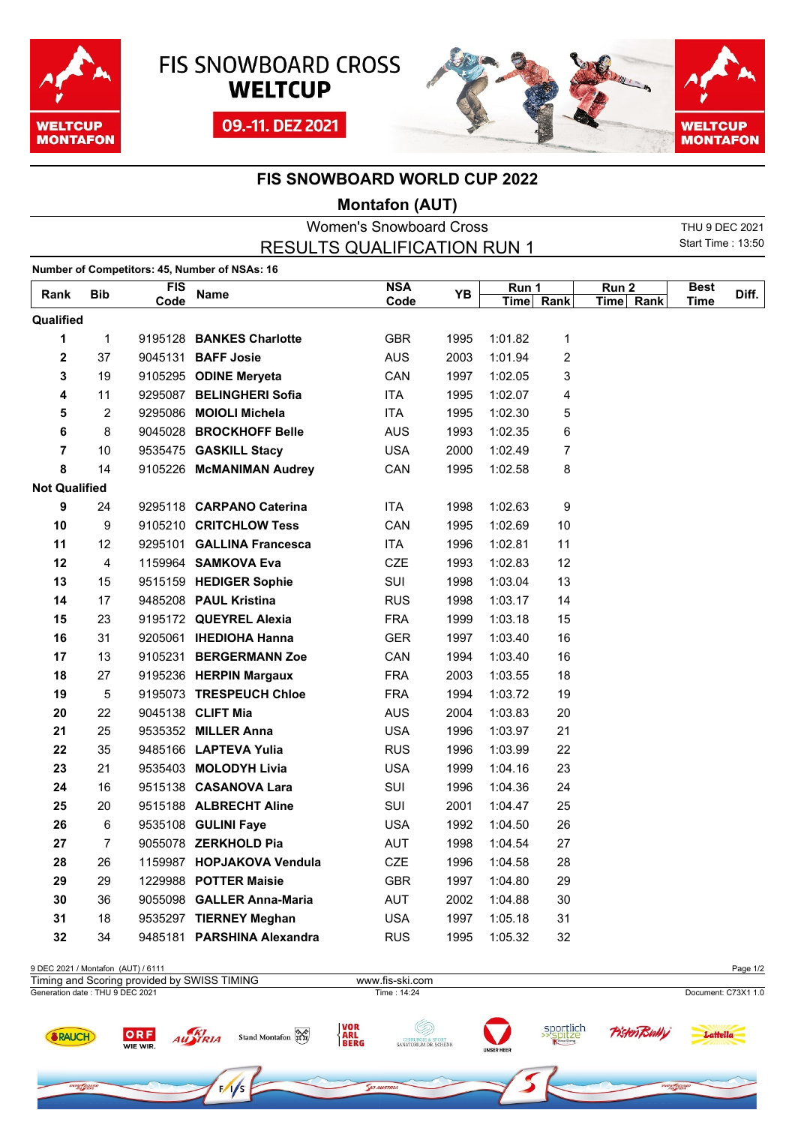





## **FIS SNOWBOARD WORLD CUP 2022**

## **Montafon (AUT)**

| <b>Women's Snowboard Cross</b> |                |                    |                                               |                                    |      |                    |                         | THU 9 DEC 2021                |                          |       |
|--------------------------------|----------------|--------------------|-----------------------------------------------|------------------------------------|------|--------------------|-------------------------|-------------------------------|--------------------------|-------|
|                                |                |                    |                                               | <b>RESULTS QUALIFICATION RUN 1</b> |      |                    |                         |                               | <b>Start Time: 13:50</b> |       |
|                                |                |                    | Number of Competitors: 45, Number of NSAs: 16 |                                    |      |                    |                         |                               |                          |       |
| Rank                           | <b>Bib</b>     | <b>FIS</b><br>Code | Name                                          | <b>NSA</b><br>Code                 | YB   | Run 1<br>Time Rank |                         | Run <sub>2</sub><br>Time Rank | <b>Best</b><br>Time      | Diff. |
| Qualified                      |                |                    |                                               |                                    |      |                    |                         |                               |                          |       |
| 1                              | 1              |                    | 9195128 BANKES Charlotte                      | <b>GBR</b>                         | 1995 | 1:01.82            | 1                       |                               |                          |       |
| $\overline{\mathbf{2}}$        | 37             |                    | 9045131 BAFF Josie                            | <b>AUS</b>                         | 2003 | 1:01.94            | $\overline{\mathbf{c}}$ |                               |                          |       |
| 3                              | 19             |                    | 9105295 ODINE Meryeta                         | CAN                                | 1997 | 1:02.05            | 3                       |                               |                          |       |
| 4                              | 11             |                    | 9295087 BELINGHERI Sofia                      | <b>ITA</b>                         | 1995 | 1:02.07            | 4                       |                               |                          |       |
| 5                              | $\overline{2}$ |                    | 9295086 MOIOLI Michela                        | <b>ITA</b>                         | 1995 | 1:02.30            | 5                       |                               |                          |       |
| 6                              | 8              |                    | 9045028 BROCKHOFF Belle                       | <b>AUS</b>                         | 1993 | 1:02.35            | 6                       |                               |                          |       |
| 7                              | 10             |                    | 9535475 GASKILL Stacy                         | <b>USA</b>                         | 2000 | 1:02.49            | 7                       |                               |                          |       |
| 8                              | 14             |                    | 9105226 McMANIMAN Audrey                      | CAN                                | 1995 | 1:02.58            | 8                       |                               |                          |       |
| <b>Not Qualified</b>           |                |                    |                                               |                                    |      |                    |                         |                               |                          |       |
| 9                              | 24             |                    | 9295118 CARPANO Caterina                      | <b>ITA</b>                         | 1998 | 1:02.63            | 9                       |                               |                          |       |
| 10                             | 9              |                    | 9105210 CRITCHLOW Tess                        | CAN                                | 1995 | 1:02.69            | $10$                    |                               |                          |       |
| 11                             | 12             |                    | 9295101 GALLINA Francesca                     | <b>ITA</b>                         | 1996 | 1:02.81            | 11                      |                               |                          |       |
| 12                             | 4              |                    | 1159964 SAMKOVA Eva                           | <b>CZE</b>                         | 1993 | 1:02.83            | 12                      |                               |                          |       |
| 13                             | 15             |                    | 9515159 HEDIGER Sophie                        | SUI                                | 1998 | 1:03.04            | 13                      |                               |                          |       |
| 14                             | 17             |                    | 9485208 PAUL Kristina                         | <b>RUS</b>                         | 1998 | 1:03.17            | 14                      |                               |                          |       |
| 15                             | 23             |                    | 9195172 QUEYREL Alexia                        | <b>FRA</b>                         | 1999 | 1:03.18            | 15                      |                               |                          |       |
| 16                             | 31             |                    | 9205061 IHEDIOHA Hanna                        | <b>GER</b>                         | 1997 | 1:03.40            | 16                      |                               |                          |       |
| 17                             | 13             |                    | 9105231 BERGERMANN Zoe                        | CAN                                | 1994 | 1:03.40            | 16                      |                               |                          |       |
| 18                             | 27             |                    | 9195236 HERPIN Margaux                        | <b>FRA</b>                         | 2003 | 1:03.55            | 18                      |                               |                          |       |
| 19                             | 5              |                    | 9195073 TRESPEUCH Chloe                       | <b>FRA</b>                         | 1994 | 1:03.72            | 19                      |                               |                          |       |
| 20                             | 22             |                    | 9045138 CLIFT Mia                             | <b>AUS</b>                         | 2004 | 1:03.83            | 20                      |                               |                          |       |
| 21                             | 25             |                    | 9535352 MILLER Anna                           | <b>USA</b>                         | 1996 | 1:03.97            | 21                      |                               |                          |       |
| 22                             | 35             |                    | 9485166 LAPTEVA Yulia                         | <b>RUS</b>                         | 1996 | 1:03.99            | 22                      |                               |                          |       |
| 23                             | 21             |                    | 9535403 MOLODYH Livia                         | <b>USA</b>                         | 1999 | 1:04.16            | 23                      |                               |                          |       |
| 24                             | 16             |                    | 9515138 CASANOVA Lara                         | SUI                                | 1996 | 1:04.36            | 24                      |                               |                          |       |
| 25                             | 20             |                    | 9515188 ALBRECHT Aline                        | SUI                                | 2001 | 1:04.47            | 25                      |                               |                          |       |
| 26                             | 6              |                    | 9535108 GULINI Faye                           | <b>USA</b>                         | 1992 | 1:04.50            | 26                      |                               |                          |       |
| 27                             | 7              |                    | 9055078 ZERKHOLD Pia                          | AUT                                | 1998 | 1:04.54            | 27                      |                               |                          |       |
| 28                             | 26             |                    | 1159987 HOPJAKOVA Vendula                     | CZE                                | 1996 | 1:04.58            | 28                      |                               |                          |       |
| 29                             | 29             |                    | 1229988 POTTER Maisie                         | <b>GBR</b>                         | 1997 | 1:04.80            | 29                      |                               |                          |       |
| 30                             | 36             |                    | 9055098 GALLER Anna-Maria                     | AUT                                | 2002 | 1:04.88            | 30                      |                               |                          |       |
| 31                             | 18             |                    | 9535297 TIERNEY Meghan                        | <b>USA</b>                         | 1997 | 1:05.18            | 31                      |                               |                          |       |
| 32                             | 34             |                    | 9485181 PARSHINA Alexandra                    | <b>RUS</b>                         | 1995 | 1:05.32            | 32                      |                               |                          |       |